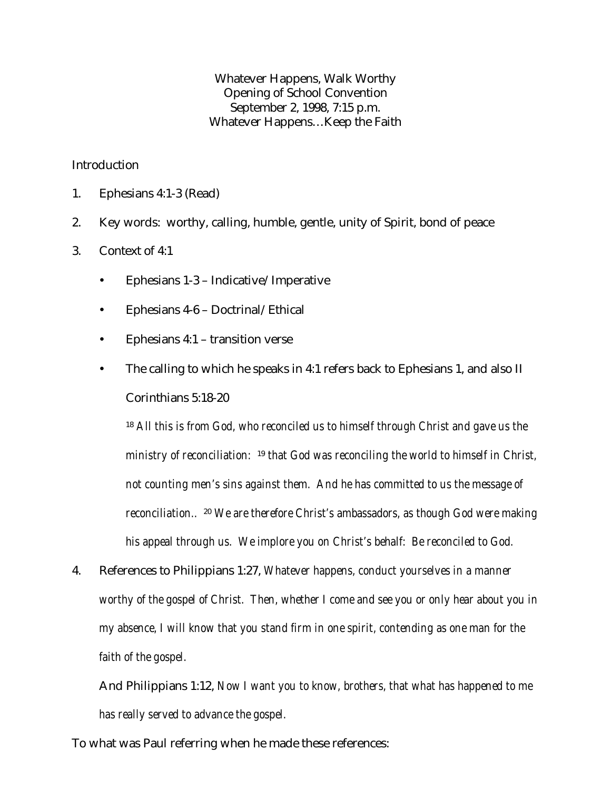Whatever Happens, Walk Worthy Opening of School Convention September 2, 1998, 7:15 p.m. Whatever Happens…Keep the Faith

## Introduction

- 1. Ephesians 4:1-3 (Read)
- 2. Key words: worthy, calling, humble, gentle, unity of Spirit, bond of peace
- 3. Context of 4:1
	- Ephesians 1-3 Indicative/Imperative
	- Ephesians 4-6 Doctrinal/Ethical
	- Ephesians 4:1 transition verse
	- The calling to which he speaks in 4:1 refers back to Ephesians 1, and also II Corinthians 5:18-20

<sup>18</sup> *All this is from God, who reconciled us to himself through Christ and gave us the ministry of reconciliation:* <sup>19</sup> *that God was reconciling the world to himself in Christ, not counting men's sins against them. And he has committed to us the message of reconciliation..*  <sup>20</sup> *We are therefore Christ's ambassadors, as though God were making his appeal through us. We implore you on Christ's behalf: Be reconciled to God.*

4. References to Philippians 1:27, *Whatever happens, conduct yourselves in a manner worthy of the gospel of Christ. Then, whether I come and see you or only hear about you in my absence, I will know that you stand firm in one spirit, contending as one man for the faith of the gospel.*

And Philippians 1:12, *Now I want you to know, brothers, that what has happened to me has really served to advance the gospel.*

To what was Paul referring when he made these references: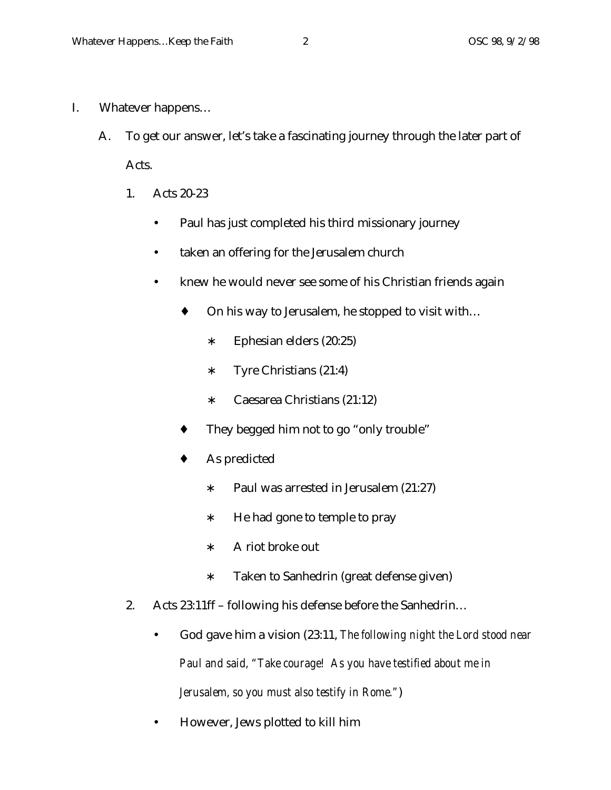- I. Whatever happens…
	- A. To get our answer, let's take a fascinating journey through the later part of Acts.
		- 1. Acts 20-23
			- Paul has just completed his third missionary journey
			- taken an offering for the Jerusalem church
			- knew he would never see some of his Christian friends again
				- ♦ On his way to Jerusalem, he stopped to visit with…
					- ∗ Ephesian elders (20:25)
					- ∗ Tyre Christians (21:4)
					- ∗ Caesarea Christians (21:12)
				- They begged him not to go "only trouble"
				- As predicted
					- ∗ Paul was arrested in Jerusalem (21:27)
					- ∗ He had gone to temple to pray
					- ∗ A riot broke out
					- ∗ Taken to Sanhedrin (great defense given)
		- 2. Acts 23:11ff following his defense before the Sanhedrin…
			- God gave him a vision (23:11, *The following night the Lord stood near Paul and said, "Take courage! As you have testified about me in Jerusalem, so you must also testify in Rome."*)
			- However, Jews plotted to kill him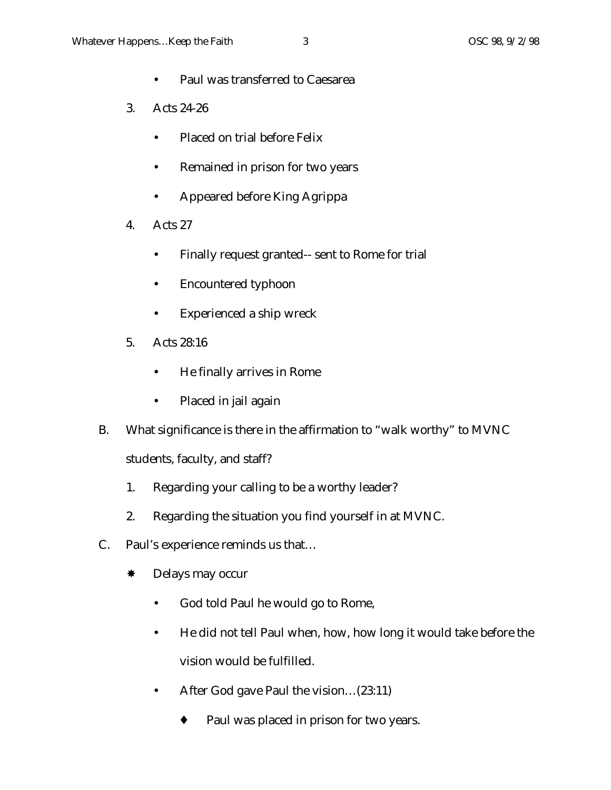- Paul was transferred to Caesarea
- 3. Acts 24-26
	- Placed on trial before Felix
	- Remained in prison for two years
	- Appeared before King Agrippa
- 4. Acts 27
	- Finally request granted-- sent to Rome for trial
	- Encountered typhoon
	- Experienced a ship wreck
- 5. Acts 28:16
	- He finally arrives in Rome
	- Placed in jail again
- B. What significance is there in the affirmation to "walk worthy" to MVNC students, faculty, and staff?
	- 1. Regarding your calling to be a worthy leader?
	- 2. Regarding the situation you find yourself in at MVNC.
- C. Paul's experience reminds us that…
	- \* Delays may occur
		- God told Paul he would go to Rome,
		- He did not tell Paul when, how, how long it would take before the vision would be fulfilled.
		- After God gave Paul the vision...(23:11)
			- ♦ Paul was placed in prison for two years.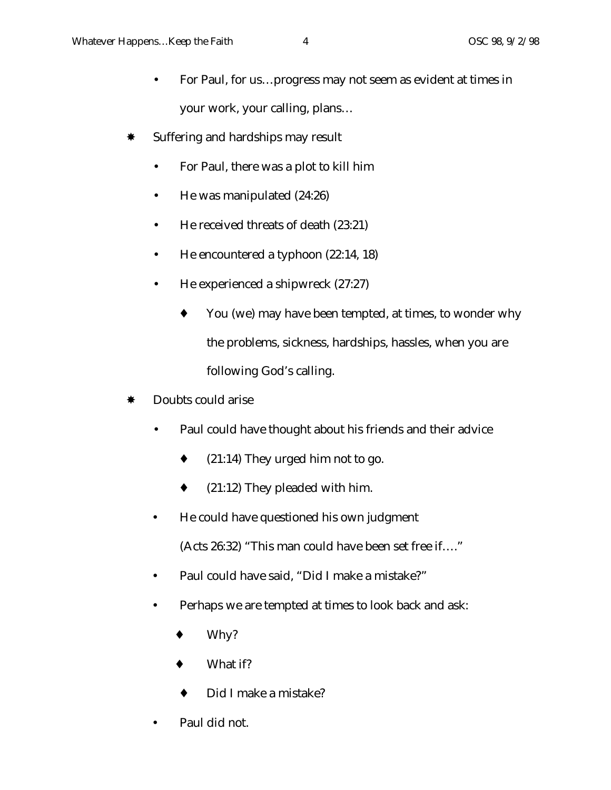- For Paul, for us...progress may not seem as evident at times in your work, your calling, plans…
- \* Suffering and hardships may result
	- For Paul, there was a plot to kill him
	- He was manipulated (24:26)
	- He received threats of death (23:21)
	- He encountered a typhoon (22:14, 18)
	- He experienced a shipwreck (27:27)
		- ♦ You (we) may have been tempted, at times, to wonder why the problems, sickness, hardships, hassles, when you are following God's calling.
- Doubts could arise
	- Paul could have thought about his friends and their advice
		- $\bullet$  (21:14) They urged him not to go.
		- $(21:12)$  They pleaded with him.
	- He could have questioned his own judgment
		- (Acts 26:32) "This man could have been set free if…."
	- Paul could have said, "Did I make a mistake?"
	- Perhaps we are tempted at times to look back and ask:
		- Why?
		- ♦ What if?
		- Did I make a mistake?
	- Paul did not.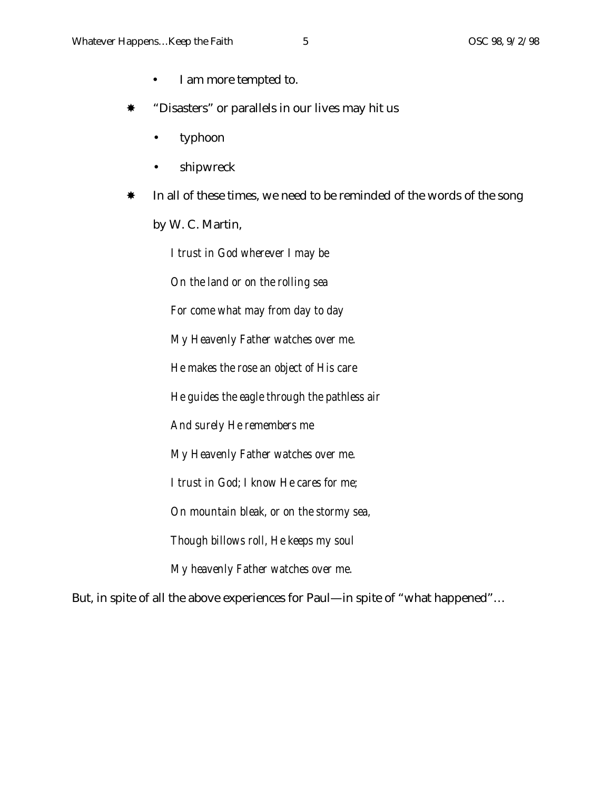- I am more tempted to.
- "Disasters" or parallels in our lives may hit us
	- typhoon
	- shipwreck
- In all of these times, we need to be reminded of the words of the song by W. C. Martin,

*I trust in God wherever I may be On the land or on the rolling sea For come what may from day to day My Heavenly Father watches over me. He makes the rose an object of His care He guides the eagle through the pathless air And surely He remembers me My Heavenly Father watches over me. I trust in God; I know He cares for me; On mountain bleak, or on the stormy sea, Though billows roll, He keeps my soul My heavenly Father watches over me.*

But, in spite of all the above experiences for Paul—in spite of "what happened"…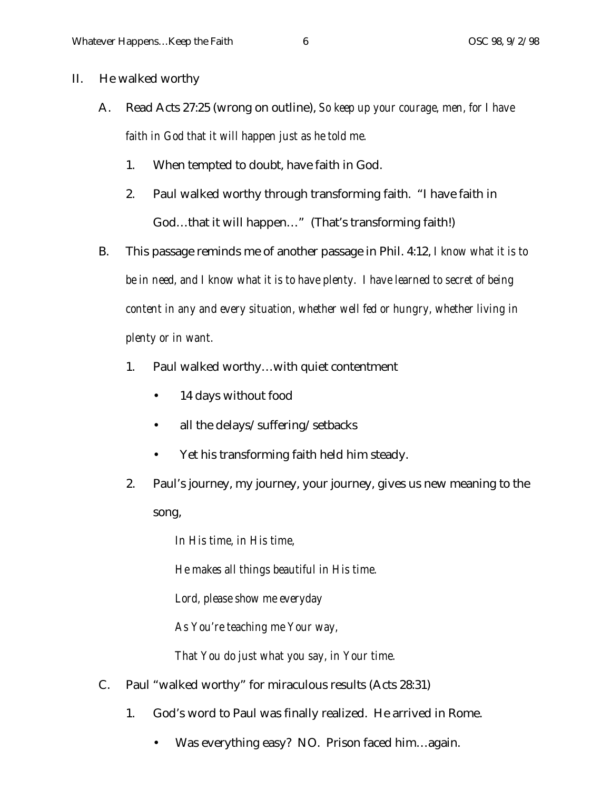- II. He walked worthy
	- A. Read Acts 27:25 (wrong on outline), *So keep up your courage, men, for I have faith in God that it will happen just as he told me.*
		- 1. When tempted to doubt, have faith in God.
		- 2. Paul walked worthy through transforming faith. "I have faith in God…that it will happen…" (That's transforming faith!)
	- B. This passage reminds me of another passage in Phil. 4:12, *I know what it is to be in need, and I know what it is to have plenty. I have learned to secret of being content in any and every situation, whether well fed or hungry, whether living in plenty or in want.*
		- 1. Paul walked worthy…with quiet contentment
			- 14 days without food
			- all the delays/suffering/setbacks
			- Yet his transforming faith held him steady.
		- 2. Paul's journey, my journey, your journey, gives us new meaning to the song,

*In His time, in His time,*

*He makes all things beautiful in His time.*

*Lord, please show me everyday*

*As You're teaching me Your way,*

*That You do just what you say, in Your time.*

- C. Paul "walked worthy" for miraculous results (Acts 28:31)
	- 1. God's word to Paul was finally realized. He arrived in Rome.
		- Was everything easy? NO. Prison faced him...again.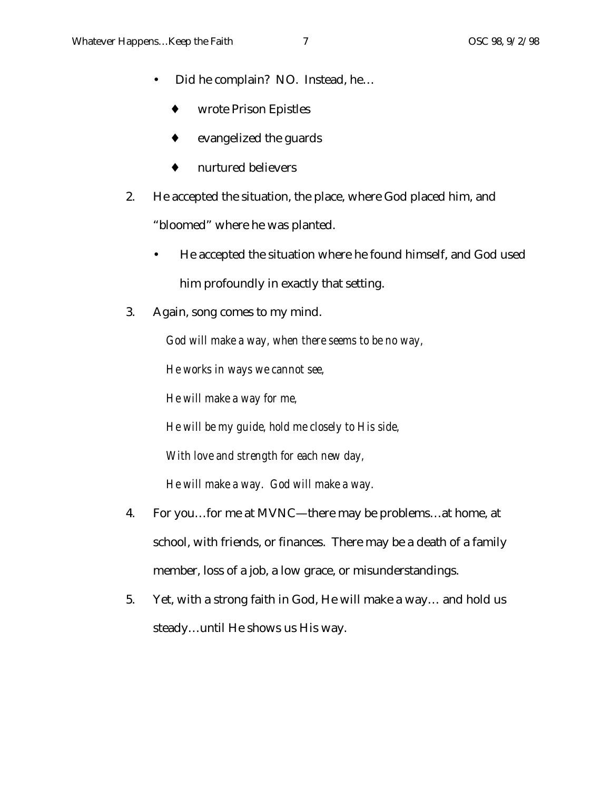- Did he complain? NO. Instead, he…
	- wrote Prison Epistles
	- ♦ evangelized the guards
	- ♦ nurtured believers
- 2. He accepted the situation, the place, where God placed him, and "bloomed" where he was planted.
	- He accepted the situation where he found himself, and God used him profoundly in exactly that setting.
- 3. Again, song comes to my mind.

*God will make a way, when there seems to be no way,*

*He works in ways we cannot see,*

*He will make a way for me,*

*He will be my guide, hold me closely to His side,*

*With love and strength for each new day,*

*He will make a way. God will make a way.*

- 4. For you…for me at MVNC—there may be problems…at home, at school, with friends, or finances. There may be a death of a family member, loss of a job, a low grace, or misunderstandings.
- 5. Yet, with a strong faith in God, He will make a way… and hold us steady…until He shows us His way.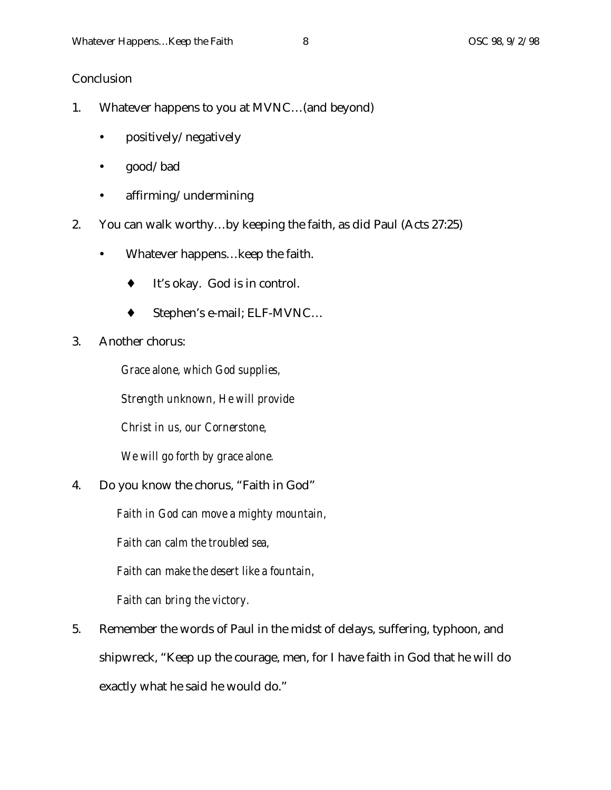## **Conclusion**

- 1. Whatever happens to you at MVNC…(and beyond)
	- positively/negatively
	- good/bad
	- affirming/undermining
- 2. You can walk worthy…by keeping the faith, as did Paul (Acts 27:25)
	- Whatever happens... keep the faith.
		- ♦ It's okay. God is in control.
		- ♦ Stephen's e-mail; ELF-MVNC…
- 3. Another chorus:

*Grace alone, which God supplies,*

*Strength unknown, He will provide*

*Christ in us, our Cornerstone,*

*We will go forth by grace alone.*

4. Do you know the chorus, "Faith in God"

*Faith in God can move a mighty mountain,*

*Faith can calm the troubled sea,*

*Faith can make the desert like a fountain,*

*Faith can bring the victory.*

5. Remember the words of Paul in the midst of delays, suffering, typhoon, and shipwreck, "Keep up the courage, men, for I have faith in God that he will do exactly what he said he would do."